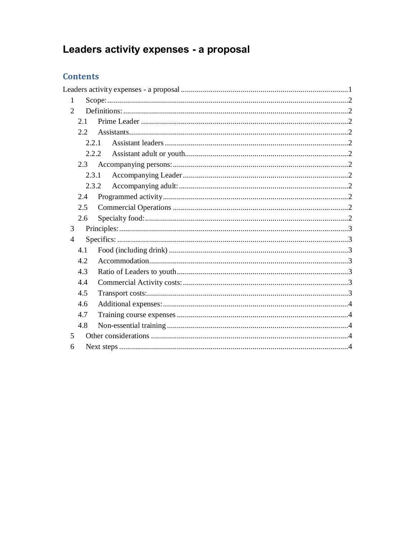# Leaders activity expenses - a proposal

# **Contents**

<span id="page-0-0"></span>

| 1              |               |  |
|----------------|---------------|--|
| $\overline{2}$ |               |  |
|                | 2.1           |  |
|                | $2.2^{\circ}$ |  |
|                | 2.2.1         |  |
|                | 2.2.2         |  |
|                | 2.3           |  |
|                | 2.3.1         |  |
|                | 2.3.2         |  |
|                | 2.4           |  |
|                | 2.5           |  |
|                | 2.6           |  |
| 3              |               |  |
| $\overline{4}$ |               |  |
|                | 4.1           |  |
|                | 4.2           |  |
|                | 4.3           |  |
|                | 4.4           |  |
|                | 4.5           |  |
|                | 4.6           |  |
|                | 4.7           |  |
|                | 4.8           |  |
| 5              |               |  |
| 6              |               |  |
|                |               |  |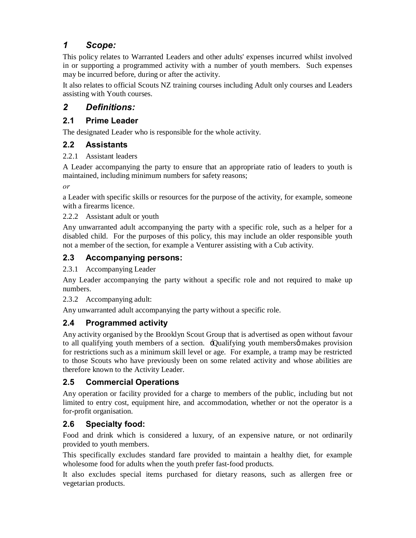# *1 Scope:*

This policy relates to Warranted Leaders and other adults' expenses incurred whilst involved in or supporting a programmed activity with a number of youth members. Such expenses may be incurred before, during or after the activity.

It also relates to official Scouts NZ training courses including Adult only courses and Leaders assisting with Youth courses.

## *2 Definitions:*

#### **2.1 Prime Leader**

The designated Leader who is responsible for the whole activity.

#### **2.2 Assistants**

#### 2.2.1 Assistant leaders

A Leader accompanying the party to ensure that an appropriate ratio of leaders to youth is maintained, including minimum numbers for safety reasons;

*or*

a Leader with specific skills or resources for the purpose of the activity, for example, someone with a firearms licence.

2.2.2 Assistant adult or youth

Any unwarranted adult accompanying the party with a specific role, such as a helper for a disabled child. For the purposes of this policy, this may include an older responsible youth not a member of the section, for example a Venturer assisting with a Cub activity.

## **2.3 Accompanying persons:**

2.3.1 Accompanying Leader

Any Leader accompanying the party without a specific role and not required to make up numbers.

2.3.2 Accompanying adult:

Any unwarranted adult accompanying the party without a specific role.

## **2.4 Programmed activity**

Any activity organised by the Brooklyn Scout Group that is advertised as open without favour to all qualifying youth members of a section.  $\exists$ Qualifying youth members makes provision for restrictions such as a minimum skill level or age. For example, a tramp may be restricted to those Scouts who have previously been on some related activity and whose abilities are therefore known to the Activity Leader.

## **2.5 Commercial Operations**

Any operation or facility provided for a charge to members of the public, including but not limited to entry cost, equipment hire, and accommodation, whether or not the operator is a for-profit organisation.

## **2.6 Specialty food:**

Food and drink which is considered a luxury, of an expensive nature, or not ordinarily provided to youth members.

This specifically excludes standard fare provided to maintain a healthy diet, for example wholesome food for adults when the youth prefer fast-food products.

<span id="page-1-11"></span><span id="page-1-10"></span><span id="page-1-9"></span><span id="page-1-8"></span><span id="page-1-7"></span><span id="page-1-6"></span><span id="page-1-5"></span><span id="page-1-4"></span><span id="page-1-3"></span><span id="page-1-2"></span><span id="page-1-1"></span><span id="page-1-0"></span>It also excludes special items purchased for dietary reasons, such as allergen free or vegetarian products.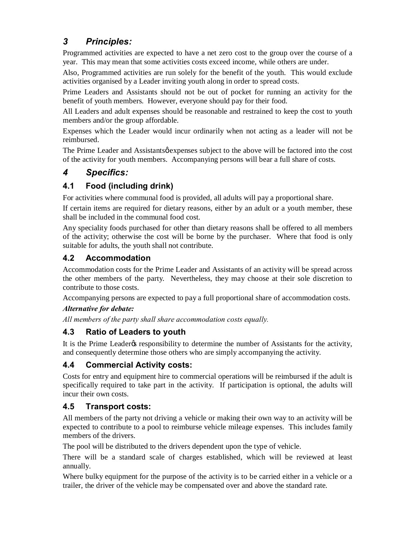# *3 Principles:*

Programmed activities are expected to have a net zero cost to the group over the course of a year. This may mean that some activities costs exceed income, while others are under.

Also, Programmed activities are run solely for the benefit of the youth. This would exclude activities organised by a Leader inviting youth along in order to spread costs.

Prime Leaders and Assistants should not be out of pocket for running an activity for the benefit of youth members. However, everyone should pay for their food.

All Leaders and adult expenses should be reasonable and restrained to keep the cost to youth members and/or the group affordable.

Expenses which the Leader would incur ordinarily when not acting as a leader will not be reimbursed.

The Prime Leader and Assistants  $\phi$  expenses subject to the above will be factored into the cost of the activity for youth members. Accompanying persons will bear a full share of costs.

# *4 Specifics:*

## **4.1 Food (including drink)**

For activities where communal food is provided, all adults will pay a proportional share.

If certain items are required for dietary reasons, either by an adult or a youth member, these shall be included in the communal food cost.

Any speciality foods purchased for other than dietary reasons shall be offered to all members of the activity; otherwise the cost will be borne by the purchaser. Where that food is only suitable for adults, the youth shall not contribute.

## **4.2 Accommodation**

Accommodation costs for the Prime Leader and Assistants of an activity will be spread across the other members of the party. Nevertheless, they may choose at their sole discretion to contribute to those costs.

Accompanying persons are expected to pay a full proportional share of accommodation costs.

#### *Alternative for debate:*

*All members of the party shall share accommodation costs equally.*

## **4.3 Ratio of Leaders to youth**

It is the Prime Leader<sub>®</sub> responsibility to determine the number of Assistants for the activity, and consequently determine those others who are simply accompanying the activity.

#### **4.4 Commercial Activity costs:**

Costs for entry and equipment hire to commercial operations will be reimbursed if the adult is specifically required to take part in the activity. If participation is optional, the adults will incur their own costs.

## **4.5 Transport costs:**

All members of the party not driving a vehicle or making their own way to an activity will be expected to contribute to a pool to reimburse vehicle mileage expenses. This includes family members of the drivers.

The pool will be distributed to the drivers dependent upon the type of vehicle.

There will be a standard scale of charges established, which will be reviewed at least annually.

<span id="page-2-6"></span><span id="page-2-5"></span><span id="page-2-4"></span><span id="page-2-3"></span><span id="page-2-2"></span><span id="page-2-1"></span><span id="page-2-0"></span>Where bulky equipment for the purpose of the activity is to be carried either in a vehicle or a trailer, the driver of the vehicle may be compensated over and above the standard rate.